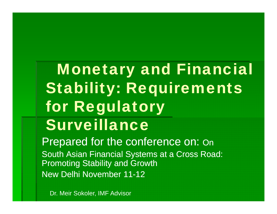Monetary and Financial Stabilit y: Requirements for Regulatory Surveillance

Pre pared for the conference on: On South Asian Financial Systems at a Cross Road: Promoting Stability and Growth New Delhi November 11 -12

Dr. Meir Sokoler, IMF Advisor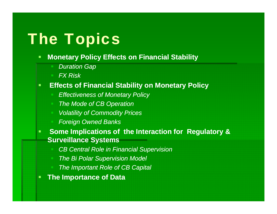# **The Topics**

#### $\blacksquare$ **Monetary Policy Effects on Financial Stability**

- *Duration Gap*
- *FX Risk*

#### $\blacksquare$ **Effects of Financial Stability on Monetary Policy**

- *Eff ti f M t P li Effectiveness o veness of Monetary Policy*
- *The Mode of CB Operation*
- *Volatility of Commodity Prices*
- *F i O dB k Foreign Owned Banks*
- $\blacksquare$  **Some Implications of the Interaction for Regulatory & Surveillance Systems**
	- **CB Central Role in Financial Supervision**
	- *The Bi Polar Supervision Model*
	- *The Important Role of CB Capital*
- П **The Importance of Data**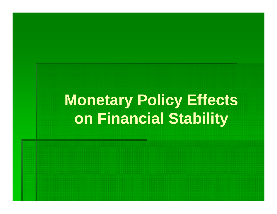# **Monetary Policy Effects on Financial Stability**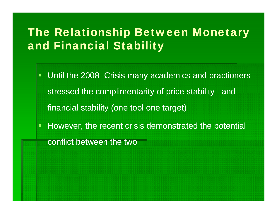# The Relationship Between Monetary and Financial Stability

- Until the 2008 Crisis many academics and practioners stressed the complimentarity of price stability and financial stability (one tool one target)
- $\Box$  However, the recent crisis demonstrated the potential conflict between the two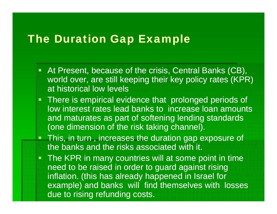#### The Duration Gap Example

- **At Present, because of the crisis, Central Banks (CB),** world over, are still keeping their key policy rates (KPR) at historical low levels
- **There is empirical evidence that prolonged periods of** low interest rates lead banks to increase loan amounts and maturates as part of softening lending standards (one dimension of the risk taking channel).
- **This, in turn** , increases the duration gap exposure of the banks and the risks associated with it.
- **The KPR in many countries will at some point in time** need to be raised in order to guard against rising inflation. (this has already happened in Israel for example) and banks will find themselves with losses due to rising refunding costs.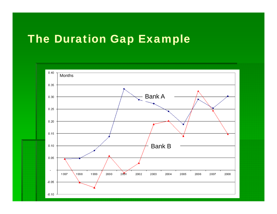# The Duration Gap Example

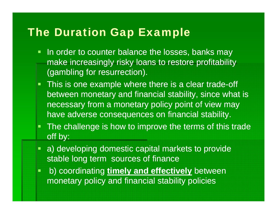# The Duration Gap Example

- $\blacksquare$  In order to counter balance the losses, banks may make increasingly risky loans to restore profitability (gambling for resurrection).
- This is one example where there is a clear trade-off between monetary and financial stability, since what is necessary from a monetary policy point of view may have adverse consequences on financial stability.
- $\blacksquare$  The challenge is how to improve the terms of this trade off by:
- T a) developing domestic capital markets to provide stable long term sources of finance
- $\Box$ **b**) coordinating timely and effectively between monetary policy and financial stability policies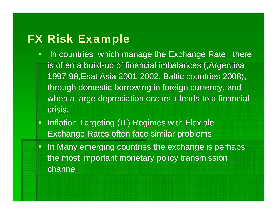# FX Risk Example

- $\blacksquare$  In countries which manage the Exchange Rate there is often a build-up of financial imbalances (,Argentina 1997-98, Esat Asia 2001-2002, Baltic countries 2008), through domestic borrowing in foreign currency, and when a large depreciation occurs it leads to a financial crisis.
- $\Box$ • Inflation Targeting (IT) Regimes with Flexible Exchange Rates often face similar problems.
- In Many emerging countries the exchange is perhaps the most important monetary policy transmission channel.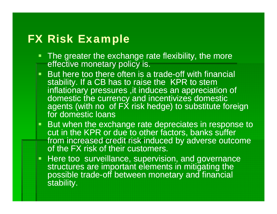# FX Risk Example

- **The greater the exchange rate flexibility, the more** effective monetary policy is.
- $\blacksquare$  $\blacksquare$  But here too there often is a trade-off with financial stability. If a CB has to raise the KPR to stem inflationary pressures ,it induces an appreciation of domestic the currency and incentivizes domestic agents (with no of FX risk hedge) to substitute foreign for domestic loans
- But when the exchange rate depreciates in response to cut in the KPR or due to other factors, banks suffer from increased credit risk induced by adverse outcome of the FX risk of their customers.
- **Here too surveillance, supervision, and governance** structures are important elements in mitigating the possible trade-off between monetary and financial stability.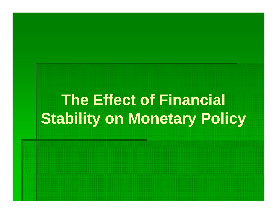# **The Effect of Financial Stability on Monetary Policy**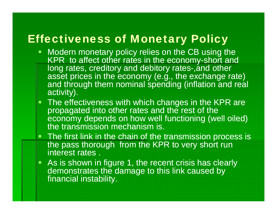## Effectiveness of Monetary Policy

- Modern monetary policy relies on the CB using the KPR to affect other rates in the economy-short and long rates, creditory and debitory rates-,and other asset prices in the economy (e.g., the exchange rate) and through them nominal spending (inflation and real activity).
- **The effectiveness with which changes in the KPR are** propagated into other rates and the rest of the economy depends on how well functioning (well oiled) the transmission mechanism is.
- **The first link in the chain of the transmission process is** the pass thorough from the KPR to very short run interest rates .
- As is shown in figure 1, the recent crisis has clearly demonstrates the damage to this link caused by financial instability.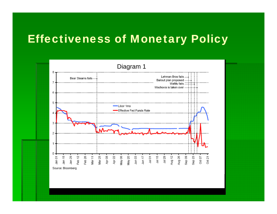# Effectiveness of Monetary Policy

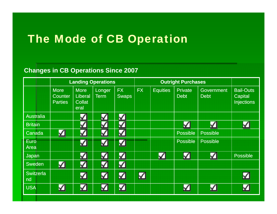# The Mode of CB Operation

#### **Changes in CB Operations Since 2007**

|                        | <b>Landing Operations</b> |                          |                      |              | <b>Outright Purchases</b> |                 |                 |                   |                                     |
|------------------------|---------------------------|--------------------------|----------------------|--------------|---------------------------|-----------------|-----------------|-------------------|-------------------------------------|
|                        | <b>More</b>               | <b>More</b>              | Longer               | <b>FX</b>    | <b>FX</b>                 | <b>Equities</b> | <b>Private</b>  | <b>Government</b> | <b>Bail-Outs</b>                    |
|                        | Counter<br><b>Parties</b> | Liberal<br><b>Collat</b> | <b>Term</b>          | <b>Swaps</b> |                           |                 | <b>Debt</b>     | <b>Debt</b>       | <b>Capital</b><br><b>Injections</b> |
|                        |                           | eral                     |                      |              |                           |                 |                 |                   |                                     |
| <b>Australia</b>       |                           | ✓                        | $\blacktriangledown$ | М            |                           |                 |                 |                   |                                     |
| <b>Britain</b>         |                           | ✓                        | Ş                    | V            |                           |                 | √               | ☑                 | ✓                                   |
| Canada                 | ⊻                         | $\checkmark$             | ζ                    | V            |                           |                 | <b>Possible</b> | <b>Possible</b>   |                                     |
| <b>Euro</b><br>Area    |                           | ✓                        | ζ                    | <u>n/</u>    |                           |                 | <b>Possible</b> | <b>Possible</b>   |                                     |
| Japan                  |                           | ✓                        | V                    | ✔            |                           | ☑               | Ŋ               | ⊻                 | <b>Possible</b>                     |
| Sweden                 | ⊻                         | ⊻                        | V                    | M            |                           |                 |                 |                   |                                     |
| <b>Switzerla</b><br>nd |                           | K                        | ☑                    | V            | $\Delta$                  |                 |                 |                   | V                                   |
| <b>USA</b>             |                           | ✓                        | √                    |              |                           |                 |                 | ✓                 | V                                   |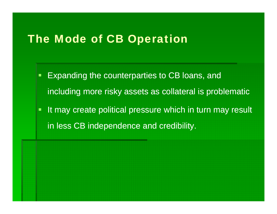## The Mode of CB Operation

- Expanding the counterparties to CB loans, and including more risky assets as collateral is problematic
- $\blacksquare$ It may create political pressure which in turn may result in less CB independence and credibility.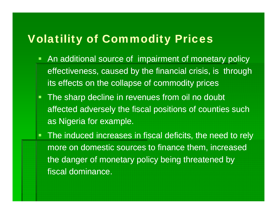# Volatility of Commodity Prices

- $\blacksquare$  An additional source of impairment of monetary policy effectiveness, caused by the financial crisis, is through its effects on the collapse of commodity prices
- The sharp decline in revenues from oil no doubt affected adversely the fiscal positions of counties such as Nigeria for example.
- **The induced increases in fiscal deficits, the need to rely** more on domestic sources to finance them, increased the danger of monetary policy being threatened by fiscal dominance.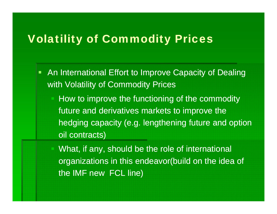# Volatility of Commodity Prices

- $\blacksquare$  An International Effort to Improve Capacity of Dealing with Volatility of Commodity Prices
	- How to improve the functioning of the commodity future and derivatives markets to improve the hedging capacity (e.g. lengthening future and option oil contracts)
	- What, if any, should be the role of international organizations in this endeavor(build on the idea of the IMF new FCL line)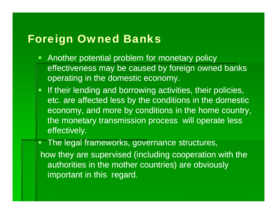### Foreign Owned Banks

- $\blacksquare$  Another potential problem for monetary policy effectiveness may be caused by foreign owned banks operating in the domestic economy.
- If their lending and borrowing activities, their policies, etc. are affected less by the conditions in the domestic economy, and more by conditions in the home country, the monetary transmission process will operate less effectively.

 The legal frameworks, governance structures, how they are supervised (including cooperation with the authorities in the mother countries) are obviously important in this regard.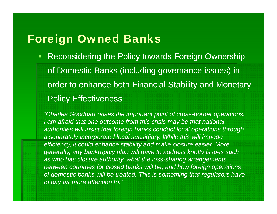### Foreign Owned Banks

 $\blacksquare$  Reconsidering the Policy towards Foreign Ownership of Domestic Banks (including governance issues) in order to enhance both Financial Stability and Monetary Policy Effectiveness

*"Charles Goodhart raises the important point of cross-border operations.*  I am afraid that one outcome from this crisis may be that national *authorities will insist that foreign banks conduct local operations through a separately incorporated local subsidiary. While this will impede efficiency, it could enhance stability and make closure easier. More generally, any bankruptcy plan will have to address knotty issues such as who has closure authority, what the loss-sharing arrangements between countries for closed banks will be, and how foreign operations*  of domestic banks will be treated. This is something that regulators have *to pay far more attention to."*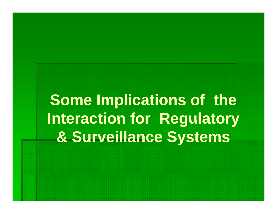**Some Implications of the Interaction for Regulatory & Surveillance Systems**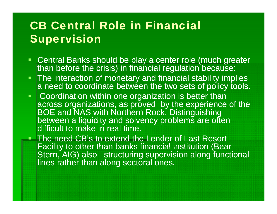# CB Central Role in Financial Supervision

- Central Banks should be play a center role (much greater than before the crisis) in financial regulation because:
- $\blacksquare$  The interaction of monetary and financial stability implies a need to coordinate between the two sets of policy tools.
- $\blacksquare$ • Coordination within one organization is better than across organizations, as proved by the experience of the BOE and NAS with Northern Rock. Distinguishing between <sup>a</sup> liquidity and solvency problems are often difficult to make in real time.

**The need CB's to extend the Lender of Last Resort** Facility to other than banks financial institution (Bear Stern, AIG) also structuring supervision along functional lines rather than along sectoral ones.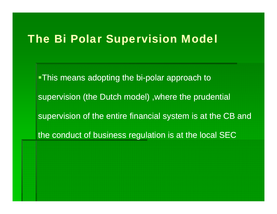### The Bi Polar Supervision Model

• This means adopting the bi-polar approach to supervision (the Dutch model) ,where the prudential supervision of the entire financial system is at the CB and the conduct of business regulation is at the local SEC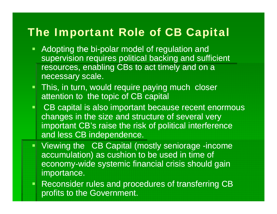# The Important Role of CB Capital

- Adopting the bi-polar model of regulation and supervision requires political backing and sufficient resources, enabling CBs to act timely and on a necessary scale.
- **This, in turn, would require paying much closer** attention to the topic of CB capital
- CB capital is also important because recent enormous changes in the size and structure of several very important CB's raise the risk of political interference and less CB independence.
- Viewing the CB Capital (mostly seniorage -income accumulation) as cushion to be used in time of economy-wide systemic financial crisis should gain importance.
- **Reconsider rules and procedures of transferring CB** profits to the Government.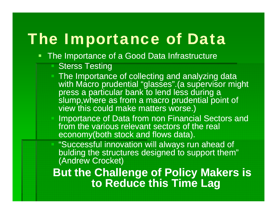# The Importance of Data

- $\mathcal{L}(\mathcal{L})$  and  $\mathcal{L}(\mathcal{L})$  and  $\mathcal{L}(\mathcal{L})$  The Importance of a Good Data Infrastructure
	- Sterss Testing
	- The Importance of collecting and analyzing data with Macro prudential "glasses". (a supervisor might press <sup>a</sup> particular bank to lend less during <sup>a</sup> a slump,where as from a macro prudential point of view this could make matters worse.)
	- Importance of Data from non Financial Sectors and from the various relevant sectors of the real economy(both stock and flows data).

"Successful innovation will always run ahead of bulding the structures designed to support them" (Andrew Crocket)

**But the Challenge of Policy Makers is Makers to Reduce this Time Lag**